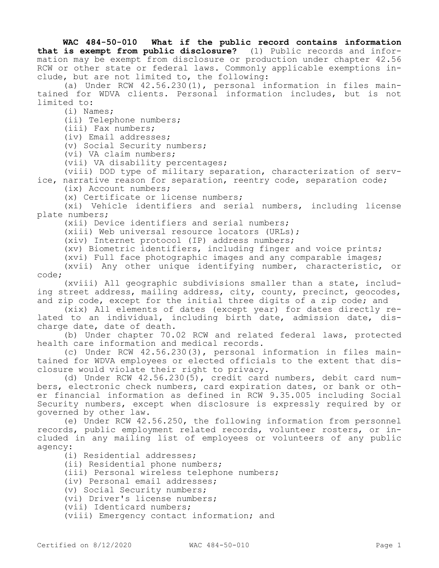**WAC 484-50-010 What if the public record contains information that is exempt from public disclosure?** (1) Public records and information may be exempt from disclosure or production under chapter 42.56 RCW or other state or federal laws. Commonly applicable exemptions include, but are not limited to, the following:

(a) Under RCW 42.56.230(1), personal information in files maintained for WDVA clients. Personal information includes, but is not limited to:

(i) Names;

(ii) Telephone numbers;

(iii) Fax numbers;

(iv) Email addresses;

(v) Social Security numbers;

(vi) VA claim numbers;

(vii) VA disability percentages;

(viii) DOD type of military separation, characterization of service, narrative reason for separation, reentry code, separation code;

(ix) Account numbers;

(x) Certificate or license numbers;

(xi) Vehicle identifiers and serial numbers, including license plate numbers;

(xii) Device identifiers and serial numbers;

(xiii) Web universal resource locators (URLs);

(xiv) Internet protocol (IP) address numbers;

(xv) Biometric identifiers, including finger and voice prints;

(xvi) Full face photographic images and any comparable images;

(xvii) Any other unique identifying number, characteristic, or code;

(xviii) All geographic subdivisions smaller than a state, including street address, mailing address, city, county, precinct, geocodes, and zip code, except for the initial three digits of a zip code; and

(xix) All elements of dates (except year) for dates directly related to an individual, including birth date, admission date, discharge date, date of death.

(b) Under chapter 70.02 RCW and related federal laws, protected health care information and medical records.

(c) Under RCW 42.56.230(3), personal information in files maintained for WDVA employees or elected officials to the extent that disclosure would violate their right to privacy.

(d) Under RCW 42.56.230(5), credit card numbers, debit card numbers, electronic check numbers, card expiration dates, or bank or other financial information as defined in RCW 9.35.005 including Social Security numbers, except when disclosure is expressly required by or governed by other law.

(e) Under RCW 42.56.250, the following information from personnel records, public employment related records, volunteer rosters, or included in any mailing list of employees or volunteers of any public agency:

(i) Residential addresses;

(ii) Residential phone numbers;

(iii) Personal wireless telephone numbers;

(iv) Personal email addresses;

(v) Social Security numbers;

(vi) Driver's license numbers;

(vii) Identicard numbers;

(viii) Emergency contact information; and